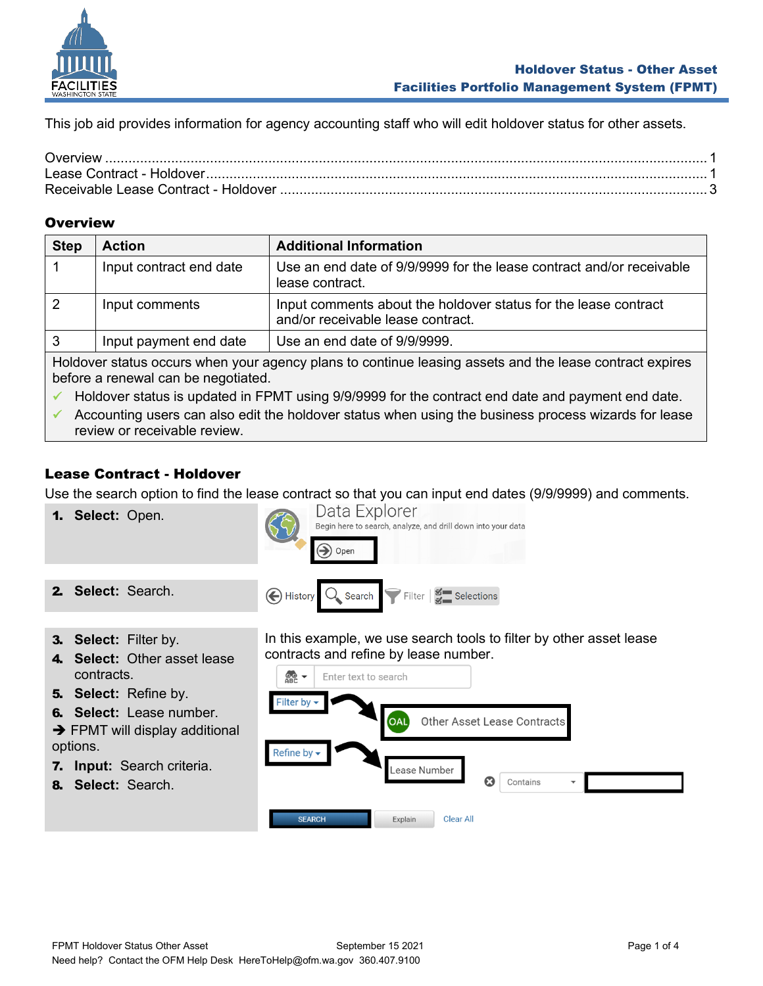

This job aid provides information for agency accounting staff who will edit holdover status for other assets.

## <span id="page-0-0"></span>**Overview**

| <b>Step</b>                                                                                                                                    | <b>Action</b>           | <b>Additional Information</b>                                                                        |  |
|------------------------------------------------------------------------------------------------------------------------------------------------|-------------------------|------------------------------------------------------------------------------------------------------|--|
|                                                                                                                                                | Input contract end date | Use an end date of 9/9/9999 for the lease contract and/or receivable<br>lease contract.              |  |
|                                                                                                                                                | Input comments          | Input comments about the holdover status for the lease contract<br>and/or receivable lease contract. |  |
| 3                                                                                                                                              | Input payment end date  | Use an end date of 9/9/9999.                                                                         |  |
| Holdover status occurs when your agency plans to continue leasing assets and the lease contract expires<br>before a renewal can be negotiated. |                         |                                                                                                      |  |

Holdover status is updated in FPMT using 9/9/9999 for the contract end date and payment end date.

✓ Accounting users can also edit the holdover status when using the business process wizards for lease review or receivable review.

## <span id="page-0-1"></span>Lease Contract - Holdover

Use the search option to find the lease contract so that you can input end dates (9/9/9999) and comments.



- 7. **Input:** Search criteria.
- 8. **Select:** Search.

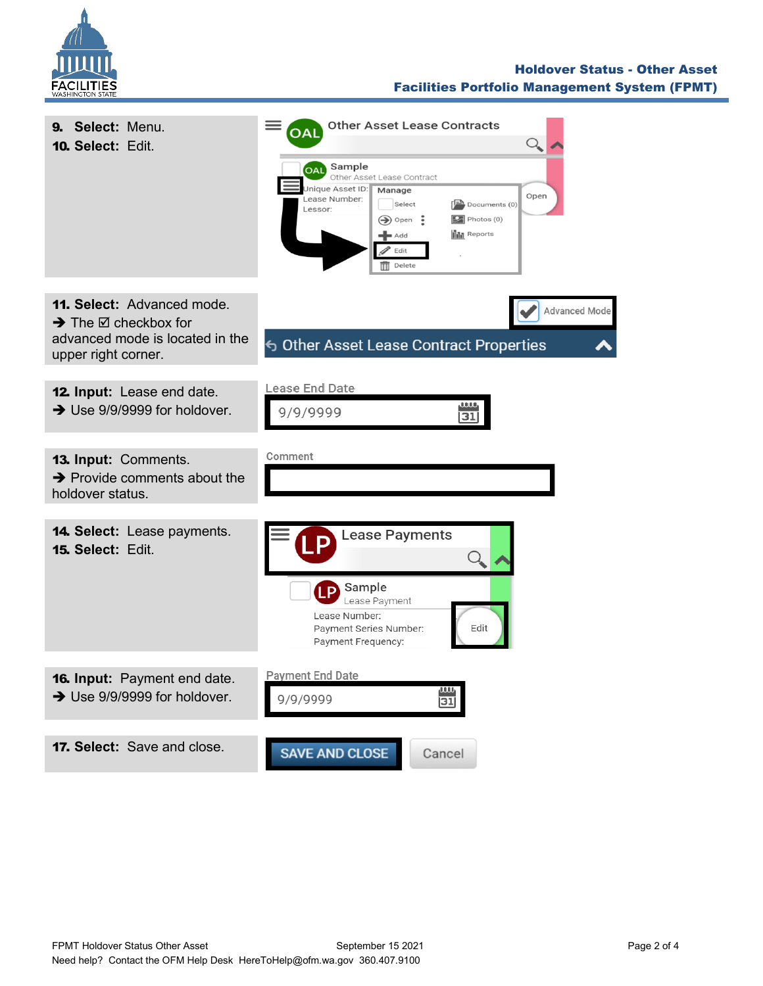

## Holdover Status - Other Asset Facilities Portfolio Management System (FPMT)

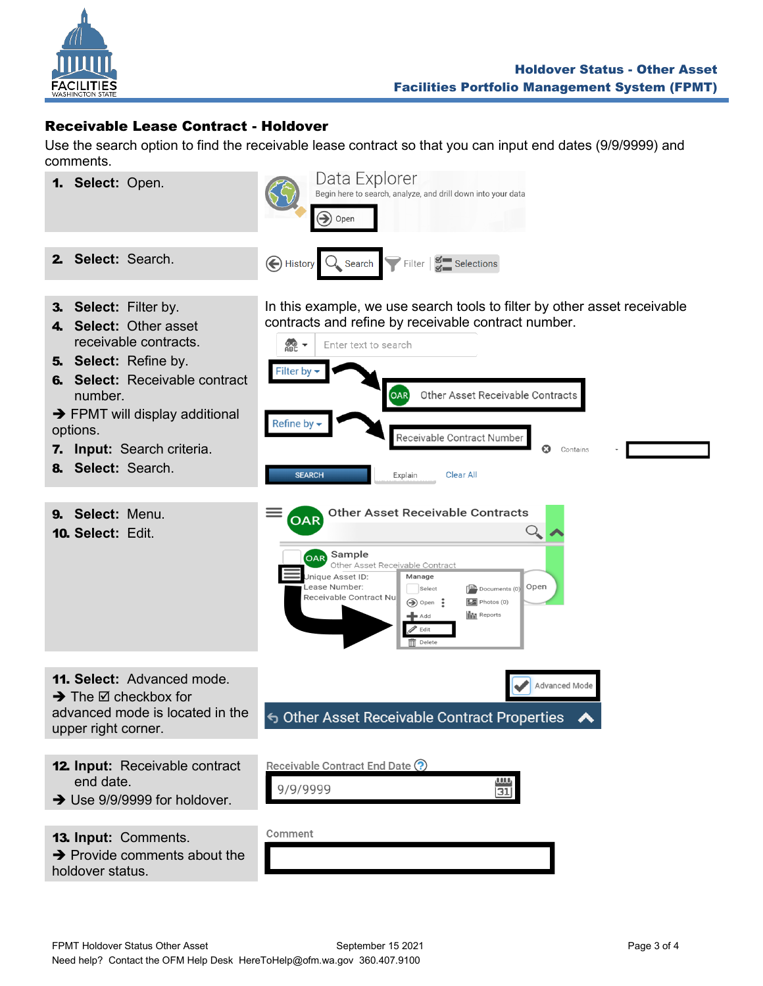

## <span id="page-2-0"></span>Receivable Lease Contract - Holdover

Use the search option to find the receivable lease contract so that you can input end dates (9/9/9999) and comments.